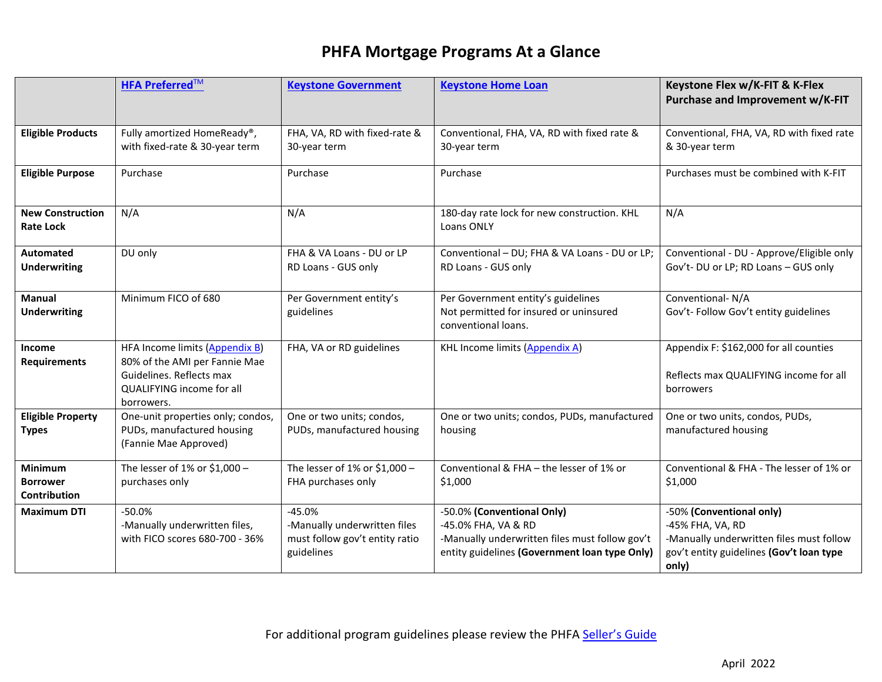|                                                   | <b>HFA Preferred™</b>                                                                                                                  | <b>Keystone Government</b>                                                               | <b>Keystone Home Loan</b>                                                                                                                            | Keystone Flex w/K-FIT & K-Flex<br>Purchase and Improvement w/K-FIT                                                                            |
|---------------------------------------------------|----------------------------------------------------------------------------------------------------------------------------------------|------------------------------------------------------------------------------------------|------------------------------------------------------------------------------------------------------------------------------------------------------|-----------------------------------------------------------------------------------------------------------------------------------------------|
| <b>Eligible Products</b>                          | Fully amortized HomeReady®,<br>with fixed-rate & 30-year term                                                                          | FHA, VA, RD with fixed-rate &<br>30-year term                                            | Conventional, FHA, VA, RD with fixed rate &<br>30-year term                                                                                          | Conventional, FHA, VA, RD with fixed rate<br>& 30-year term                                                                                   |
| <b>Eligible Purpose</b>                           | Purchase                                                                                                                               | Purchase                                                                                 | Purchase                                                                                                                                             | Purchases must be combined with K-FIT                                                                                                         |
| <b>New Construction</b><br><b>Rate Lock</b>       | N/A                                                                                                                                    | N/A                                                                                      | 180-day rate lock for new construction. KHL<br>Loans ONLY                                                                                            | N/A                                                                                                                                           |
| <b>Automated</b><br><b>Underwriting</b>           | DU only                                                                                                                                | FHA & VA Loans - DU or LP<br>RD Loans - GUS only                                         | Conventional - DU; FHA & VA Loans - DU or LP;<br>RD Loans - GUS only                                                                                 | Conventional - DU - Approve/Eligible only<br>Gov't- DU or LP; RD Loans - GUS only                                                             |
| <b>Manual</b><br><b>Underwriting</b>              | Minimum FICO of 680                                                                                                                    | Per Government entity's<br>guidelines                                                    | Per Government entity's guidelines<br>Not permitted for insured or uninsured<br>conventional loans.                                                  | Conventional- N/A<br>Gov't- Follow Gov't entity guidelines                                                                                    |
| Income<br><b>Requirements</b>                     | HFA Income limits (Appendix B)<br>80% of the AMI per Fannie Mae<br>Guidelines. Reflects max<br>QUALIFYING income for all<br>borrowers. | FHA, VA or RD guidelines                                                                 | <b>KHL Income limits (Appendix A)</b>                                                                                                                | Appendix F: \$162,000 for all counties<br>Reflects max QUALIFYING income for all<br>borrowers                                                 |
| <b>Eligible Property</b><br><b>Types</b>          | One-unit properties only; condos,<br>PUDs, manufactured housing<br>(Fannie Mae Approved)                                               | One or two units; condos,<br>PUDs, manufactured housing                                  | One or two units; condos, PUDs, manufactured<br>housing                                                                                              | One or two units, condos, PUDs,<br>manufactured housing                                                                                       |
| Minimum<br><b>Borrower</b><br><b>Contribution</b> | The lesser of 1% or \$1,000 -<br>purchases only                                                                                        | The lesser of 1% or \$1,000 -<br>FHA purchases only                                      | Conventional & FHA - the lesser of 1% or<br>\$1,000                                                                                                  | Conventional & FHA - The lesser of 1% or<br>\$1,000                                                                                           |
| <b>Maximum DTI</b>                                | $-50.0%$<br>-Manually underwritten files,<br>with FICO scores 680-700 - 36%                                                            | $-45.0%$<br>-Manually underwritten files<br>must follow gov't entity ratio<br>guidelines | -50.0% (Conventional Only)<br>-45.0% FHA, VA & RD<br>-Manually underwritten files must follow gov't<br>entity guidelines (Government loan type Only) | -50% (Conventional only)<br>-45% FHA, VA, RD<br>-Manually underwritten files must follow<br>gov't entity guidelines (Gov't loan type<br>only) |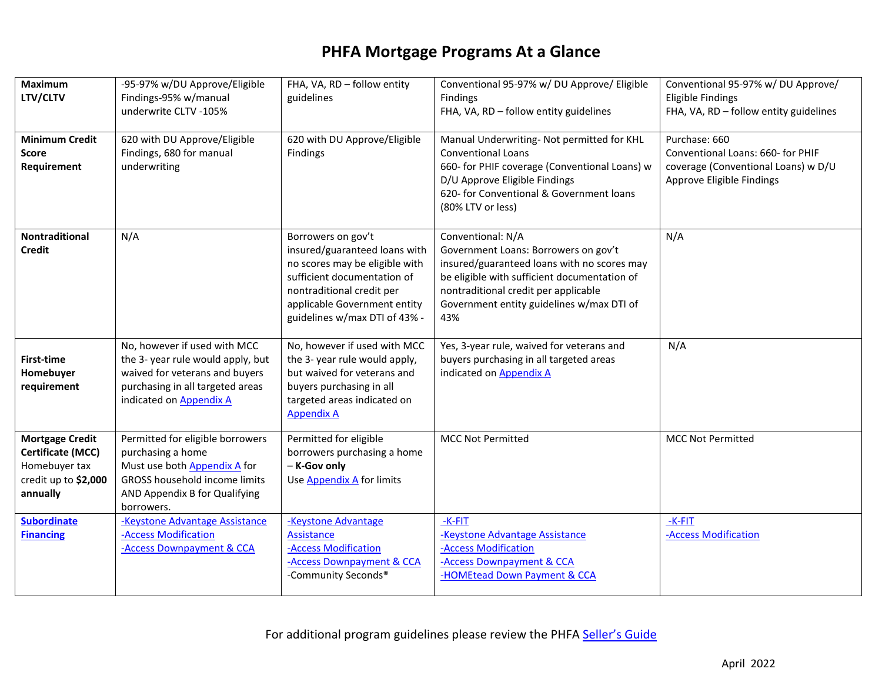| <b>Maximum</b><br>LTV/CLTV                                                                              | -95-97% w/DU Approve/Eligible<br>Findings-95% w/manual<br>underwrite CLTV -105%                                                                                              | FHA, VA, RD - follow entity<br>guidelines                                                                                                                                                                          | Conventional 95-97% w/ DU Approve/ Eligible<br>Findings<br>FHA, VA, RD - follow entity guidelines                                                                                                                                                    | Conventional 95-97% w/ DU Approve/<br><b>Eligible Findings</b><br>FHA, VA, RD - follow entity guidelines               |
|---------------------------------------------------------------------------------------------------------|------------------------------------------------------------------------------------------------------------------------------------------------------------------------------|--------------------------------------------------------------------------------------------------------------------------------------------------------------------------------------------------------------------|------------------------------------------------------------------------------------------------------------------------------------------------------------------------------------------------------------------------------------------------------|------------------------------------------------------------------------------------------------------------------------|
| <b>Minimum Credit</b><br>Score<br>Requirement                                                           | 620 with DU Approve/Eligible<br>Findings, 680 for manual<br>underwriting                                                                                                     | 620 with DU Approve/Eligible<br>Findings                                                                                                                                                                           | Manual Underwriting- Not permitted for KHL<br><b>Conventional Loans</b><br>660- for PHIF coverage (Conventional Loans) w<br>D/U Approve Eligible Findings<br>620- for Conventional & Government loans<br>(80% LTV or less)                           | Purchase: 660<br>Conventional Loans: 660- for PHIF<br>coverage (Conventional Loans) w D/U<br>Approve Eligible Findings |
| Nontraditional<br><b>Credit</b>                                                                         | N/A                                                                                                                                                                          | Borrowers on gov't<br>insured/guaranteed loans with<br>no scores may be eligible with<br>sufficient documentation of<br>nontraditional credit per<br>applicable Government entity<br>guidelines w/max DTI of 43% - | Conventional: N/A<br>Government Loans: Borrowers on gov't<br>insured/guaranteed loans with no scores may<br>be eligible with sufficient documentation of<br>nontraditional credit per applicable<br>Government entity guidelines w/max DTI of<br>43% | N/A                                                                                                                    |
| <b>First-time</b><br>Homebuyer<br>requirement                                                           | No, however if used with MCC<br>the 3- year rule would apply, but<br>waived for veterans and buyers<br>purchasing in all targeted areas<br>indicated on <b>Appendix A</b>    | No, however if used with MCC<br>the 3- year rule would apply,<br>but waived for veterans and<br>buyers purchasing in all<br>targeted areas indicated on<br><b>Appendix A</b>                                       | Yes, 3-year rule, waived for veterans and<br>buyers purchasing in all targeted areas<br>indicated on Appendix A                                                                                                                                      | N/A                                                                                                                    |
| <b>Mortgage Credit</b><br><b>Certificate (MCC)</b><br>Homebuyer tax<br>credit up to \$2,000<br>annually | Permitted for eligible borrowers<br>purchasing a home<br>Must use both Appendix A for<br><b>GROSS household income limits</b><br>AND Appendix B for Qualifying<br>borrowers. | Permitted for eligible<br>borrowers purchasing a home<br>- K-Gov only<br>Use Appendix A for limits                                                                                                                 | <b>MCC Not Permitted</b>                                                                                                                                                                                                                             | <b>MCC Not Permitted</b>                                                                                               |
| <b>Subordinate</b><br><b>Financing</b>                                                                  | -Keystone Advantage Assistance<br>-Access Modification<br>-Access Downpayment & CCA                                                                                          | -Keystone Advantage<br>Assistance<br>-Access Modification<br>-Access Downpayment & CCA<br>-Community Seconds <sup>®</sup>                                                                                          | $-K-FIT$<br>-Keystone Advantage Assistance<br>-Access Modification<br>-Access Downpayment & CCA<br>-HOMEtead Down Payment & CCA                                                                                                                      | -K-FIT<br>-Access Modification                                                                                         |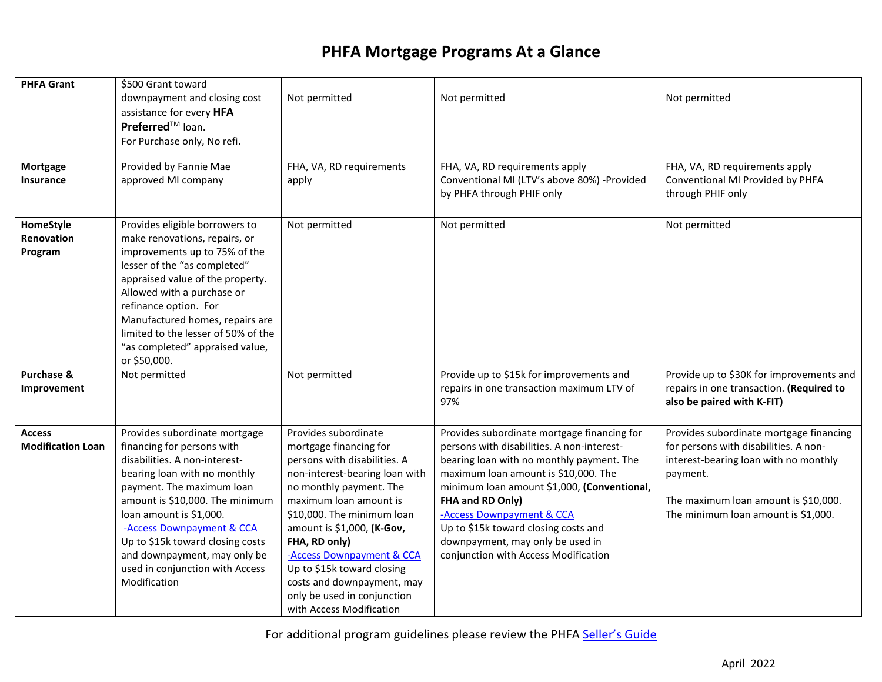| <b>PHFA Grant</b><br><b>Mortgage</b><br>Insurance | \$500 Grant toward<br>downpayment and closing cost<br>assistance for every HFA<br>Preferred <sup>™</sup> loan.<br>For Purchase only, No refi.<br>Provided by Fannie Mae<br>approved MI company                                                                                                                                                                              | Not permitted<br>FHA, VA, RD requirements<br>apply                                                                                                                                                                                                                                                                                                                                                     | Not permitted<br>FHA, VA, RD requirements apply<br>Conventional MI (LTV's above 80%) -Provided<br>by PHFA through PHIF only                                                                                                                                                                                                                                                                        | Not permitted<br>FHA, VA, RD requirements apply<br>Conventional MI Provided by PHFA<br>through PHIF only                                                                                                             |
|---------------------------------------------------|-----------------------------------------------------------------------------------------------------------------------------------------------------------------------------------------------------------------------------------------------------------------------------------------------------------------------------------------------------------------------------|--------------------------------------------------------------------------------------------------------------------------------------------------------------------------------------------------------------------------------------------------------------------------------------------------------------------------------------------------------------------------------------------------------|----------------------------------------------------------------------------------------------------------------------------------------------------------------------------------------------------------------------------------------------------------------------------------------------------------------------------------------------------------------------------------------------------|----------------------------------------------------------------------------------------------------------------------------------------------------------------------------------------------------------------------|
| HomeStyle<br>Renovation<br>Program                | Provides eligible borrowers to<br>make renovations, repairs, or<br>improvements up to 75% of the<br>lesser of the "as completed"<br>appraised value of the property.<br>Allowed with a purchase or<br>refinance option. For<br>Manufactured homes, repairs are<br>limited to the lesser of 50% of the<br>"as completed" appraised value,<br>or \$50,000.                    | Not permitted                                                                                                                                                                                                                                                                                                                                                                                          | Not permitted                                                                                                                                                                                                                                                                                                                                                                                      | Not permitted                                                                                                                                                                                                        |
| Purchase &<br>Improvement                         | Not permitted                                                                                                                                                                                                                                                                                                                                                               | Not permitted                                                                                                                                                                                                                                                                                                                                                                                          | Provide up to \$15k for improvements and<br>repairs in one transaction maximum LTV of<br>97%                                                                                                                                                                                                                                                                                                       | Provide up to \$30K for improvements and<br>repairs in one transaction. (Required to<br>also be paired with K-FIT)                                                                                                   |
| <b>Access</b><br><b>Modification Loan</b>         | Provides subordinate mortgage<br>financing for persons with<br>disabilities. A non-interest-<br>bearing loan with no monthly<br>payment. The maximum loan<br>amount is \$10,000. The minimum<br>loan amount is \$1,000.<br>-Access Downpayment & CCA<br>Up to \$15k toward closing costs<br>and downpayment, may only be<br>used in conjunction with Access<br>Modification | Provides subordinate<br>mortgage financing for<br>persons with disabilities. A<br>non-interest-bearing loan with<br>no monthly payment. The<br>maximum loan amount is<br>\$10,000. The minimum loan<br>amount is \$1,000, (K-Gov,<br>FHA, RD only)<br>-Access Downpayment & CCA<br>Up to \$15k toward closing<br>costs and downpayment, may<br>only be used in conjunction<br>with Access Modification | Provides subordinate mortgage financing for<br>persons with disabilities. A non-interest-<br>bearing loan with no monthly payment. The<br>maximum loan amount is \$10,000. The<br>minimum loan amount \$1,000, (Conventional,<br>FHA and RD Only)<br>-Access Downpayment & CCA<br>Up to \$15k toward closing costs and<br>downpayment, may only be used in<br>conjunction with Access Modification | Provides subordinate mortgage financing<br>for persons with disabilities. A non-<br>interest-bearing loan with no monthly<br>payment.<br>The maximum loan amount is \$10,000.<br>The minimum loan amount is \$1,000. |